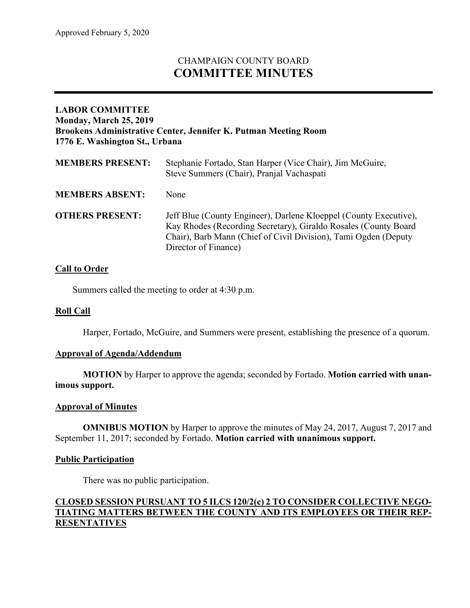# CHAMPAIGN COUNTY BOARD **COMMITTEE MINUTES**

## **LABOR COMMITTEE Monday, March 25, 2019 Brookens Administrative Center, Jennifer K. Putman Meeting Room 1776 E. Washington St., Urbana**

| <b>MEMBERS PRESENT:</b> | Stephanie Fortado, Stan Harper (Vice Chair), Jim McGuire,<br>Steve Summers (Chair), Pranjal Vachaspati                                                                                                                          |
|-------------------------|---------------------------------------------------------------------------------------------------------------------------------------------------------------------------------------------------------------------------------|
| <b>MEMBERS ABSENT:</b>  | None                                                                                                                                                                                                                            |
| <b>OTHERS PRESENT:</b>  | Jeff Blue (County Engineer), Darlene Kloeppel (County Executive),<br>Kay Rhodes (Recording Secretary), Giraldo Rosales (County Board<br>Chair), Barb Mann (Chief of Civil Division), Tami Ogden (Deputy<br>Director of Finance) |

### **Call to Order**

Summers called the meeting to order at 4:30 p.m.

#### **Roll Call**

Harper, Fortado, McGuire, and Summers were present, establishing the presence of a quorum.

#### **Approval of Agenda/Addendum**

**MOTION** by Harper to approve the agenda; seconded by Fortado. **Motion carried with unanimous support.**

#### **Approval of Minutes**

**OMNIBUS MOTION** by Harper to approve the minutes of May 24, 2017, August 7, 2017 and September 11, 2017; seconded by Fortado. **Motion carried with unanimous support.**

#### **Public Participation**

There was no public participation.

## **CLOSED SESSION PURSUANT TO 5 ILCS 120/2(c) 2 TO CONSIDER COLLECTIVE NEGO-TIATING MATTERS BETWEEN THE COUNTY AND ITS EMPLOYEES OR THEIR REP-RESENTATIVES**